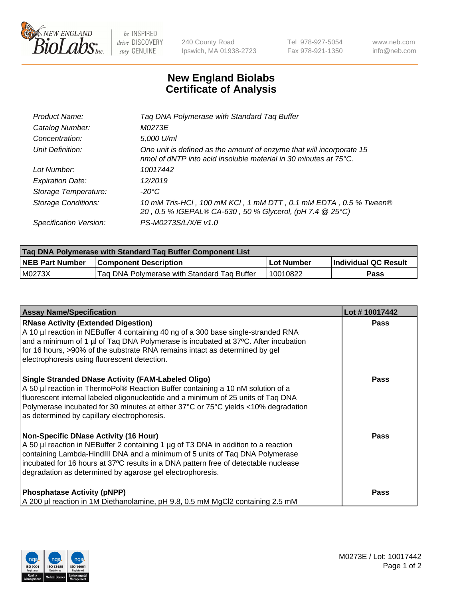

 $be$  INSPIRED drive DISCOVERY stay GENUINE

240 County Road Ipswich, MA 01938-2723 Tel 978-927-5054 Fax 978-921-1350 www.neb.com info@neb.com

## **New England Biolabs Certificate of Analysis**

| Tag DNA Polymerase with Standard Tag Buffer                                                                                              |
|------------------------------------------------------------------------------------------------------------------------------------------|
| M0273E                                                                                                                                   |
| 5,000 U/ml                                                                                                                               |
| One unit is defined as the amount of enzyme that will incorporate 15<br>nmol of dNTP into acid insoluble material in 30 minutes at 75°C. |
| 10017442                                                                                                                                 |
| 12/2019                                                                                                                                  |
| $-20^{\circ}$ C                                                                                                                          |
| 10 mM Tris-HCl, 100 mM KCl, 1 mM DTT, 0.1 mM EDTA, 0.5 % Tween®<br>20, 0.5 % IGEPAL® CA-630, 50 % Glycerol, (pH 7.4 @ 25°C)              |
| PS-M0273S/L/X/E v1.0                                                                                                                     |
|                                                                                                                                          |

| <b>Tag DNA Polymerase with Standard Tag Buffer Component List</b> |                                             |                   |                      |  |  |
|-------------------------------------------------------------------|---------------------------------------------|-------------------|----------------------|--|--|
| <b>NEB Part Number</b>                                            | <b>Component Description</b>                | <b>Lot Number</b> | Individual QC Result |  |  |
| IM0273X                                                           | Tag DNA Polymerase with Standard Tag Buffer | 10010822          | Pass                 |  |  |

| <b>Assay Name/Specification</b>                                                                                                                                                                                                                                                                                                                                        | Lot #10017442 |
|------------------------------------------------------------------------------------------------------------------------------------------------------------------------------------------------------------------------------------------------------------------------------------------------------------------------------------------------------------------------|---------------|
| <b>RNase Activity (Extended Digestion)</b><br>A 10 µl reaction in NEBuffer 4 containing 40 ng of a 300 base single-stranded RNA<br>and a minimum of 1 µl of Taq DNA Polymerase is incubated at 37°C. After incubation<br>for 16 hours, >90% of the substrate RNA remains intact as determined by gel<br>electrophoresis using fluorescent detection.                   | <b>Pass</b>   |
| <b>Single Stranded DNase Activity (FAM-Labeled Oligo)</b><br>A 50 µl reaction in ThermoPol® Reaction Buffer containing a 10 nM solution of a<br>fluorescent internal labeled oligonucleotide and a minimum of 25 units of Taq DNA<br>Polymerase incubated for 30 minutes at either 37°C or 75°C yields <10% degradation<br>as determined by capillary electrophoresis. | <b>Pass</b>   |
| Non-Specific DNase Activity (16 Hour)<br>A 50 µl reaction in NEBuffer 2 containing 1 µg of T3 DNA in addition to a reaction<br>containing Lambda-HindIII DNA and a minimum of 5 units of Taq DNA Polymerase<br>incubated for 16 hours at 37°C results in a DNA pattern free of detectable nuclease<br>degradation as determined by agarose gel electrophoresis.        | Pass          |
| <b>Phosphatase Activity (pNPP)</b><br>A 200 µl reaction in 1M Diethanolamine, pH 9.8, 0.5 mM MgCl2 containing 2.5 mM                                                                                                                                                                                                                                                   | Pass          |